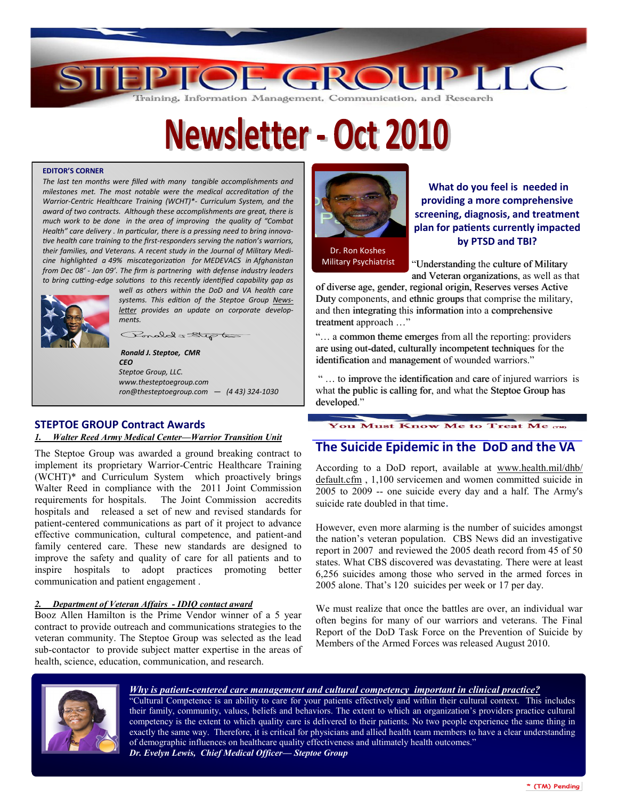

# **Newsletter - Oct 2010**

#### **EDITOR'S CORNER**

*The last ten months were filled with many tangible accomplishments and milestones met. The most notable were the medical accreditation of the Warrior-Centric Healthcare Training (WCHT)\*- Curriculum System, and the award of two contracts. Although these accomplishments are great, there is much work to be done in the area of improving the quality of "Combat Health" care delivery . In particular, there is a pressing need to bring innovative health care training to the first-responders serving the nation's warriors, their families, and Veterans. A recent study in the Journal of Military Medicine highlighted a 49% miscategorization for MEDEVACS in Afghanistan from Dec 08' - Jan 09'. The firm is partnering with defense industry leaders to bring cutting-edge solutions to this recently identified capability gap as* 



*well as others within the DoD and VA health care systems. This edition of the Steptoe Group Newsletter provides an update on corporate developments.*

Ponded = Step to

*Ronald J. Steptoe, CMR CEO Steptoe Group, LLC. www.thesteptoegroup.com ron@thesteptoegroup.com — (4 43) 324-1030*

#### **STEPTOE GROUP Contract Awards**  *1. Walter Reed Army Medical Center—Warrior Transition Unit*

The Steptoe Group was awarded a ground breaking contract to implement its proprietary Warrior-Centric Healthcare Training (WCHT)\* and Curriculum System which proactively brings Walter Reed in compliance with the 2011 Joint Commission requirements for hospitals. The Joint Commission accredits hospitals and released a set of new and revised standards for patient-centered communications as part of it project to advance effective communication, cultural competence, and patient-and family centered care. These new standards are designed to improve the safety and quality of care for all patients and to inspire hospitals to adopt practices promoting better communication and patient engagement .

#### *2. Department of Veteran Affairs - IDIQ contact award*

Booz Allen Hamilton is the Prime Vendor winner of a 5 year contract to provide outreach and communications strategies to the veteran community. The Steptoe Group was selected as the lead sub-contactor to provide subject matter expertise in the areas of health, science, education, communication, and research.



**What do you feel is needed in providing a more comprehensive screening, diagnosis, and treatment plan for patients currently impacted by PTSD and TBI?** 

 Dr. Ron Koshes Military Psychiatrist

"Understanding the culture of Military and Veteran organizations, as well as that

of diverse age, gender, regional origin, Reserves verses Active Duty components, and ethnic groups that comprise the military, and then integrating this information into a comprehensive treatment approach …"

"… a common theme emerges from all the reporting: providers are using out-dated, culturally incompetent techniques for the identification and management of wounded warriors."

" … to improve the identification and care of injured warriors is what the public is calling for, and what the Steptoe Group has developed."

**You Must Know Me to Treat Me rm** 

## **The Suicide Epidemic in the DoD and the VA**

According to a DoD report, available at [www.health.mil/dhb/](http://www.health.mil/dhb/default.cfm) [default.cfm](http://www.health.mil/dhb/default.cfm) , 1,100 servicemen and women committed suicide in 2005 to 2009 -- one suicide every day and a half. The Army's suicide rate doubled in that time.

However, even more alarming is the number of suicides amongst the nation's veteran population. CBS News did an investigative report in 2007 and reviewed the 2005 death record from 45 of 50 states. What CBS discovered was devastating. There were at least 6,256 suicides among those who served in the armed forces in 2005 alone. That's 120 suicides per week or 17 per day.

We must realize that once the battles are over, an individual war often begins for many of our warriors and veterans. The Final Report of the DoD Task Force on the Prevention of Suicide by Members of the Armed Forces was released August 2010.



#### *Why is patient-centered care management and cultural competency important in clinical practice?*

"Cultural Competence is an ability to care for your patients effectively and within their cultural context. This includes their family, community, values, beliefs and behaviors. The extent to which an organization's providers practice cultural competency is the extent to which quality care is delivered to their patients. No two people experience the same thing in exactly the same way. Therefore, it is critical for physicians and allied health team members to have a clear understanding of demographic influences on healthcare quality effectiveness and ultimately health outcomes." *Dr. Evelyn Lewis, Chief Medical Officer— Steptoe Group* 

\* (TM) Pending